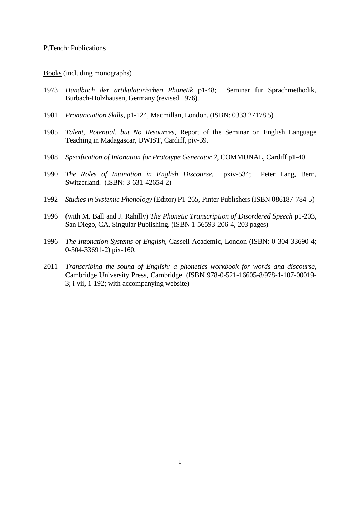## P.Tench: Publications

Books (including monographs)

- 1973 *Handbuch der artikulatorischen Phonetik* p1-48; Seminar fur Sprachmethodik, Burbach-Holzhausen, Germany (revised 1976).
- 1981 *Pronunciation Skills,* p1-124, Macmillan, London. (ISBN: 0333 27178 5)
- 1985 *Talent, Potential, but No Resources*, Report of the Seminar on English Language Teaching in Madagascar, UWIST, Cardiff, piv-39.
- 1988 *Specification of Intonation for Prototype Generator 2*, COMMUNAL, Cardiff p1-40.
- 1990 *The Roles of Intonation in English Discourse,* pxiv-534; Peter Lang, Bern, Switzerland. (ISBN: 3-631-42654-2)
- 1992 *Studies in Systemic Phonology* (Editor) P1-265, Pinter Publishers (ISBN 086187-784-5)
- 1996 (with M. Ball and J. Rahilly) *The Phonetic Transcription of Disordered Speech* p1-203, San Diego, CA, Singular Publishing. (ISBN 1-56593-206-4, 203 pages)
- 1996 *The Intonation Systems of English*, Cassell Academic, London (ISBN: 0-304-33690-4; 0-304-33691-2) pix-160.
- 2011 *Transcribing the sound of English: a phonetics workbook for words and discourse*, Cambridge University Press, Cambridge. (ISBN 978-0-521-16605-8/978-1-107-00019- 3; i-vii, 1-192; with accompanying website)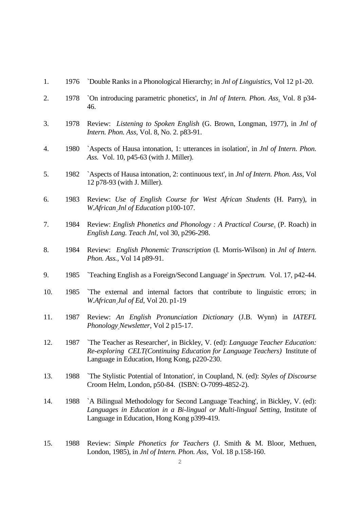- 1. 1976 `Double Ranks in a Phonological Hierarchy; in *Jnl of Linguistics*, Vol 12 p1-20.
- 2. 1978 `On introducing parametric phonetics', in *Jnl of Intern. Phon. Ass*. Vol. 8 p34- 46.
- 3. 1978 Review: *Listening to Spoken English* (G. Brown, Longman, 1977), in *Jnl of Intern. Phon. Ass,* Vol. 8, No. 2. p83-91.
- 4. 1980 `Aspects of Hausa intonation, 1: utterances in isolation', in *Jnl of Intern. Phon. Ass.* Vol. 10, p45-63 (with J. Miller).
- 5. 1982 `Aspects of Hausa intonation, 2: continuous text', in *Jnl of Intern. Phon. Ass*, Vol 12 p78-93 (with J. Miller).
- 6. 1983 Review: *Use of English Course for West African Students* (H. Parry), in *W.African Jnl of Education* p100-107.
- 7. 1984 Review: *English Phonetics and Phonology : A Practical Course*. (P. Roach) in *English Lang. Teach Jnl,* vol 30, p296-298.
- 8. 1984 Review: *English Phonemic Transcription* (I. Morris-Wilson) in *Jnl of Intern. Phon. Ass.,* Vol 14 p89-91.
- 9. 1985 `Teaching English as a Foreign/Second Language' in *Spectrum.* Vol. 17, p42-44.
- 10. 1985 `The external and internal factors that contribute to linguistic errors; in *W.African Jul of Ed*, Vol 20. p1-19
- 11. 1987 Review: *An English Pronunciation Dictionary* (J.B. Wynn) in *IATEFL Phonology Newsletter*, Vol 2 p15-17.
- 12. 1987 `The Teacher as Researcher', in Bickley, V. (ed): *Language Teacher Education: Re-exploring CELT(Continuing Education for Language Teachers)* Institute of Language in Education, Hong Kong, p220-230.
- 13. 1988 `The Stylistic Potential of Intonation', in Coupland, N. (ed): *Styles of Discourse* Croom Helm, London, p50-84. (ISBN: O-7099-4852-2).
- 14. 1988 `A Bilingual Methodology for Second Language Teaching', in Bickley, V. (ed): *Languages in Education in a Bi-lingual or Multi-lingual Setting*, Institute of Language in Education, Hong Kong p399-419.
- 15. 1988 Review: *Simple Phonetics for Teachers* (J. Smith & M. Bloor, Methuen, London, 1985), in *Jnl of Intern. Phon. Ass,* Vol. 18 p.158-160.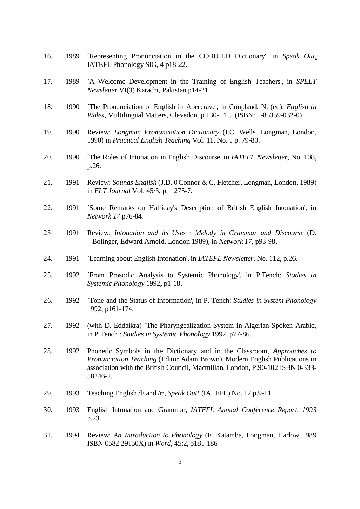- 16. 1989 `Representing Pronunciation in the COBUILD Dictionary', in *Speak Out*, IATEFL Phonology SIG, 4 p18-22.
- 17. 1989 `A Welcome Development in the Training of English Teachers', in *SPELT Newsletter* VI(3) Karachi, Pakistan p14-21.
- 18. 1990 `The Pronunciation of English in Abercrave', in Coupland, N. (ed): *English in Wales*, Multilingual Matters, Clevedon, p.130-141. (ISBN: 1-85359-032-0)
- 19. 1990 Review: *Longman Pronunciation Dictionary* (J.C. Wells, Longman, London, 1990) in *Practical English Teaching* Vol. 11, No. 1 p. 79-80.
- 20. 1990 `The Roles of Intonation in English Discourse' in *IATEFL Newsletter*, No. 108, p.26.
- 21. 1991 Review: *Sounds English* (J.D. 0'Connor & C. Fletcher, Longman, London, 1989) in *ELT Journal* Vol. 45/3, p. 275-7.
- 22. 1991 `Some Remarks on Halliday's Description of British English Intonation', in *Network 17* p76-84.
- 23 1991 Review: *Intonation and its Uses : Melody in Grammar and Discourse* (D. Bolinger, Edward Arnold, London 1989), in *Network 17*, p93-98.
- 24. 1991 `Learning about English Intonation', in *IATEFL Newsletter*, No. 112, p.26.
- 25. 1992 `From Prosodic Analysis to Systemic Phonology', in P.Tench: *Studies in Systemic Phonology* 1992, p1-18.
- 26. 1992 `Tone and the Status of Information', in P. Tench: *Studies in System Phonology* 1992, p161-174.
- 27. 1992 (with D. Eddaikra) `The Pharyngealization System in Algerian Spoken Arabic, in P.Tench : *Studies in Systemic Phonology* 1992, p77-86.
- 28. 1992 Phonetic Symbols in the Dictionary and in the Classroom, *Approaches to Pronunciation Teaching* (Editor Adam Brown), Modern English Publications in association with the British Council, Macmillan, London, P.90-102 ISBN 0-333- 58246-2.
- 29. 1993 Teaching English /l/ and /r/, *Speak Out!* (IATEFL) No. 12 p.9-11.
- 30. 1993 English Intonation and Grammar, *IATEFL Annual Conference Report, 1993* p.23.
- 31. 1994 Review: *An Introduction to Phonology* (F. Katamba, Longman, Harlow 1989 ISBN 0582 29150X) in *Word*, 45:2, p181-186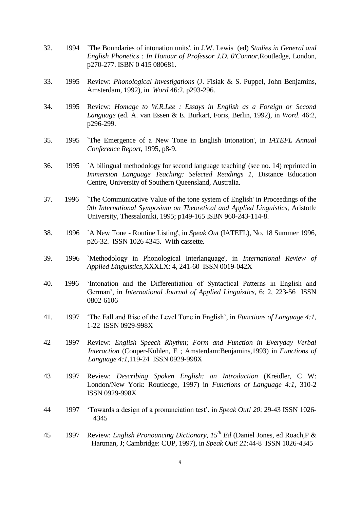- 32. 1994 `The Boundaries of intonation units', in J.W. Lewis (ed) *Studies in General and English Phonetics : In Honour of Professor J.D. 0'Connor*,Routledge, London, p270-277. ISBN 0 415 080681.
- 33. 1995 Review: *Phonological Investigations* (J. Fisiak & S. Puppel, John Benjamins, Amsterdam, 1992), in *Word* 46:2, p293-296.
- 34. 1995 Review: *Homage to W.R.Lee : Essays in English as a Foreign or Second Language* (ed. A. van Essen & E. Burkart, Foris, Berlin, 1992), in *Word*. 46:2, p296-299.
- 35. 1995 `The Emergence of a New Tone in English Intonation', in *IATEFL Annual Conference Report,* 1995, p8-9.
- 36. 1995 `A bilingual methodology for second language teaching' (see no. 14) reprinted in *Immersion Language Teaching: Selected Readings 1*, Distance Education Centre, University of Southern Queensland, Australia.
- 37. 1996 `The Communicative Value of the tone system of English' in Proceedings of the *9th International Symposium on Theoretical and Applied Linguistics*, Aristotle University, Thessaloniki, 1995; p149-165 ISBN 960-243-114-8.
- 38. 1996 `A New Tone Routine Listing', in *Speak Out* (IATEFL), No. 18 Summer 1996, p26-32. ISSN 1026 4345. With cassette.
- 39. 1996 `Methodology in Phonological Interlanguage', in *International Review of Applied Linguistics*,XXXLX: 4, 241-60 ISSN 0019-042X
- 40. 1996 'Intonation and the Differentiation of Syntactical Patterns in English and German', in *International Journal of Applied Linguistics*, 6: 2, 223-56 ISSN 0802-6106
- 41. 1997 'The Fall and Rise of the Level Tone in English', in *Functions of Language 4:1,* 1-22 ISSN 0929-998X
- 42 1997 Review: *English Speech Rhythm; Form and Function in Everyday Verbal Interaction* (Couper-Kuhlen, E ; Amsterdam:Benjamins,1993) in *Functions of Language 4:1,*119-24 ISSN 0929-998X
- 43 1997 Review: *Describing Spoken English: an Introduction* (Kreidler, C W: London/New York: Routledge, 1997) in *Functions of Language 4:1,* 310-2 ISSN 0929-998X
- 44 1997 'Towards a design of a pronunciation test', in *Speak Out! 20*: 29-43 ISSN 1026- 4345
- 45 1997 Review: *English Pronouncing Dictionary, 15th Ed* (Daniel Jones, ed Roach,P & Hartman, J; Cambridge: CUP, 1997), in *Speak Out! 21*:44-8 ISSN 1026-4345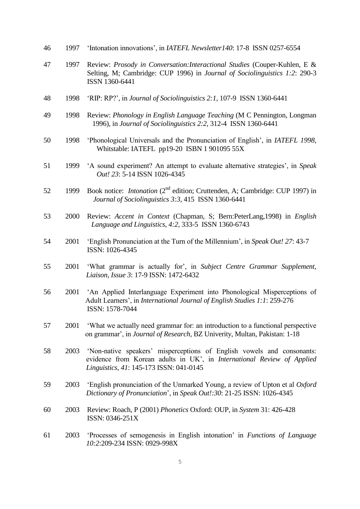- 46 1997 'Intonation innovations', in *IATEFL Newsletter140*: 17-8 ISSN 0257-6554
- 47 1997 Review: *Prosody in Conversation:Interactional Studies* (Couper-Kuhlen, E & Selting, M; Cambridge: CUP 1996) in *Journal of Sociolinguistics 1:2*: 290-3 ISSN 1360-6441
- 48 1998 'RIP: RP?', in *Journal of Sociolinguistics 2:1,* 107-9 ISSN 1360-6441
- 49 1998 Review: *Phonology in English Language Teaching* (M C Pennington, Longman 1996), in *Journal of Sociolinguistics 2:2*, 312-4 ISSN 1360-6441
- 50 1998 'Phonological Universals and the Pronunciation of English', in *IATEFL 1998*, Whitstable: IATEFL pp19-20 ISBN 1 901095 55X
- 51 1999 'A sound experiment? An attempt to evaluate alternative strategies', in *Speak Out! 23*: 5-14 ISSN 1026-4345
- 52 1999 Book notice: *Intonation* (2<sup>nd</sup> edition; Cruttenden, A; Cambridge: CUP 1997) in *Journal of Sociolinguistics 3:3*, 415 ISSN 1360-6441
- 53 2000 Review: *Accent in Context* (Chapman, S; Bern:PeterLang,1998) in *English Language and Linguistics, 4:2,* 333-5 ISSN 1360-6743
- 54 2001 'English Pronunciation at the Turn of the Millennium', in *Speak Out! 27*: 43-7 ISSN: 1026-4345
- 55 2001 'What grammar is actually for', in *Subject Centre Grammar Supplement, Liaison, Issue 3*: 17-9 ISSN: 1472-6432
- 56 2001 'An Applied Interlanguage Experiment into Phonological Misperceptions of Adult Learners', in *International Journal of English Studies 1:1*: 259-276 ISSN: 1578-7044
- 57 2001 'What we actually need grammar for: an introduction to a functional perspective on grammar', in *Journal of Research,* BZ Univerity, Multan, Pakistan: 1-18
- 58 2003 'Non-native speakers' misperceptions of English vowels and consonants: evidence from Korean adults in UK', in *International Review of Applied Linguistics, 41*: 145-173 ISSN: 041-0145
- 59 2003 'English pronunciation of the Unmarked Young, a review of Upton et al *Oxford Dictionary of Pronunciation*', in *Speak Out!:30*: 21-25 ISSN: 1026-4345
- 60 2003 Review: Roach, P (2001) *Phonetics* Oxford: OUP, in *System* 31: 426-428 ISSN: 0346-251X
- 61 2003 'Processes of semogenesis in English intonation' in *Functions of Language 10:2*:209-234 ISSN: 0929-998X